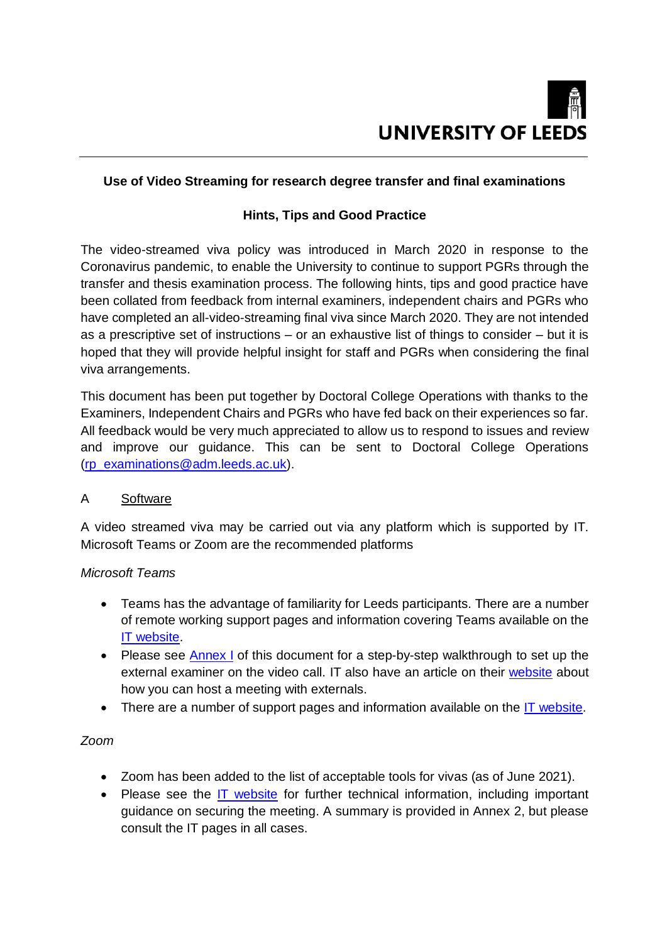

# **Use of Video Streaming for research degree transfer and final examinations**

### **Hints, Tips and Good Practice**

The video-streamed viva policy was introduced in March 2020 in response to the Coronavirus pandemic, to enable the University to continue to support PGRs through the transfer and thesis examination process. The following hints, tips and good practice have been collated from feedback from internal examiners, independent chairs and PGRs who have completed an all-video-streaming final viva since March 2020. They are not intended as a prescriptive set of instructions – or an exhaustive list of things to consider – but it is hoped that they will provide helpful insight for staff and PGRs when considering the final viva arrangements.

This document has been put together by Doctoral College Operations with thanks to the Examiners, Independent Chairs and PGRs who have fed back on their experiences so far. All feedback would be very much appreciated to allow us to respond to issues and review and improve our guidance. This can be sent to Doctoral College Operations [\(rp\\_examinations@adm.leeds.ac.uk\)](mailto:rp_examinations@adm.leeds.ac.uk).

### A Software

A video streamed viva may be carried out via any platform which is supported by IT. Microsoft Teams or Zoom are the recommended platforms

### *Microsoft Teams*

- Teams has the advantage of familiarity for Leeds participants. There are a number of remote working support pages and information covering Teams available on the [IT website.](https://it.leeds.ac.uk/it?id=kb_article_view&sys_kb_id=7aad4bc5dbb78814600e3445f396194b)
- Please see [Annex I](#page-5-0) of this document for a step-by-step walkthrough to set up the external examiner on the video call. IT also have an article on their [website](https://it.leeds.ac.uk/it?id=kb_article&sysparm_article=KB0014491) about how you can host a meeting with externals.
- There are a number of support pages and information available on the [IT website.](https://it.leeds.ac.uk/it?id=kb_article&sysparm_article=KB0012997)

### *Zoom*

- Zoom has been added to the list of acceptable tools for vivas (as of June 2021).
- Please see the [IT website](https://it.leeds.ac.uk/it?id=kb_article&sysparm_article=KB0014406) for further technical information, including important guidance on securing the meeting. A summary is provided in Annex 2, but please consult the IT pages in all cases.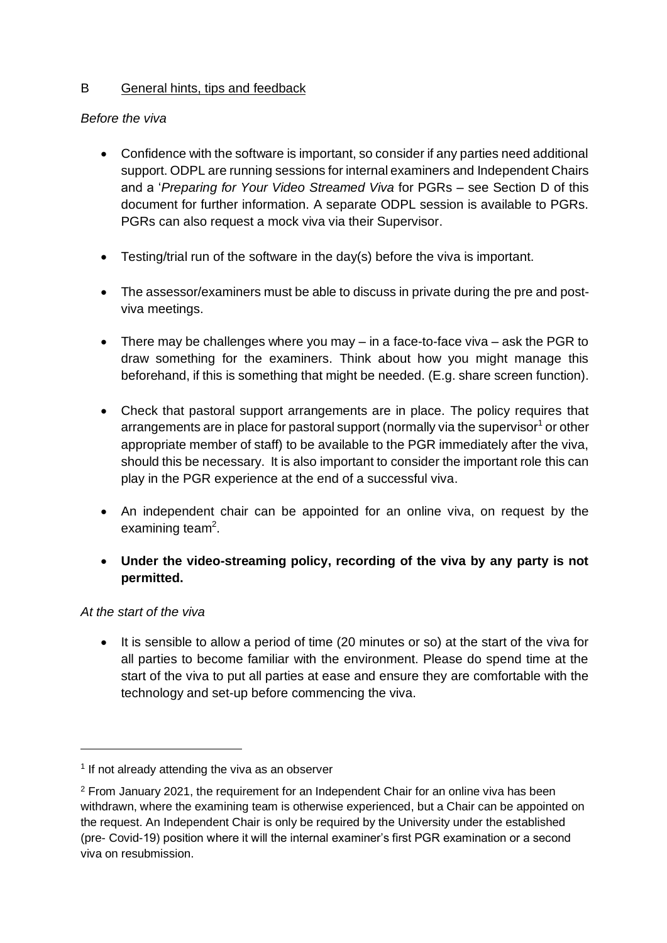# B General hints, tips and feedback

### *Before the viva*

- Confidence with the software is important, so consider if any parties need additional support. ODPL are running sessions for internal examiners and Independent Chairs and a '*Preparing for Your Video Streamed Viva* for PGRs – see Section D of this document for further information. A separate ODPL session is available to PGRs. PGRs can also request a mock viva via their Supervisor.
- Testing/trial run of the software in the day(s) before the viva is important.
- The assessor/examiners must be able to discuss in private during the pre and postviva meetings.
- There may be challenges where you may in a face-to-face viva ask the PGR to draw something for the examiners. Think about how you might manage this beforehand, if this is something that might be needed. (E.g. share screen function).
- Check that pastoral support arrangements are in place. The policy requires that arrangements are in place for pastoral support (normally via the supervisor $1$  or other appropriate member of staff) to be available to the PGR immediately after the viva, should this be necessary. It is also important to consider the important role this can play in the PGR experience at the end of a successful viva.
- An independent chair can be appointed for an online viva, on request by the examining team<sup>2</sup>.
- **Under the video-streaming policy, recording of the viva by any party is not permitted.**

### *At the start of the viva*

<u>.</u>

• It is sensible to allow a period of time (20 minutes or so) at the start of the viva for all parties to become familiar with the environment. Please do spend time at the start of the viva to put all parties at ease and ensure they are comfortable with the technology and set-up before commencing the viva.

<sup>&</sup>lt;sup>1</sup> If not already attending the viva as an observer

 $2$  From January 2021, the requirement for an Independent Chair for an online viva has been withdrawn, where the examining team is otherwise experienced, but a Chair can be appointed on the request. An Independent Chair is only be required by the University under the established (pre- Covid-19) position where it will the internal examiner's first PGR examination or a second viva on resubmission.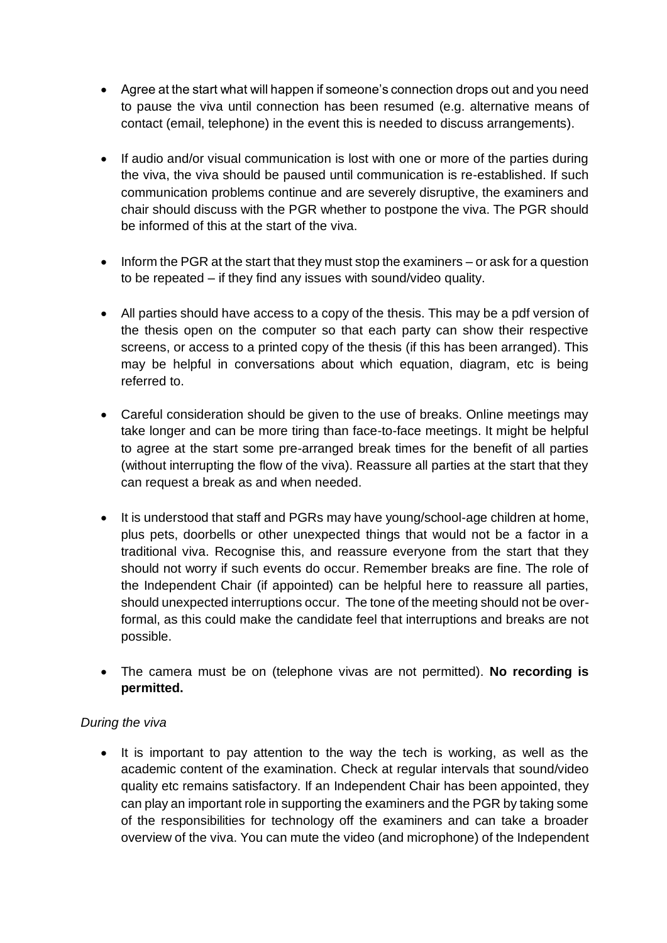- Agree at the start what will happen if someone's connection drops out and you need to pause the viva until connection has been resumed (e.g. alternative means of contact (email, telephone) in the event this is needed to discuss arrangements).
- If audio and/or visual communication is lost with one or more of the parties during the viva, the viva should be paused until communication is re-established. If such communication problems continue and are severely disruptive, the examiners and chair should discuss with the PGR whether to postpone the viva. The PGR should be informed of this at the start of the viva.
- $\bullet$  Inform the PGR at the start that they must stop the examiners or ask for a question to be repeated – if they find any issues with sound/video quality.
- All parties should have access to a copy of the thesis. This may be a pdf version of the thesis open on the computer so that each party can show their respective screens, or access to a printed copy of the thesis (if this has been arranged). This may be helpful in conversations about which equation, diagram, etc is being referred to.
- Careful consideration should be given to the use of breaks. Online meetings may take longer and can be more tiring than face-to-face meetings. It might be helpful to agree at the start some pre-arranged break times for the benefit of all parties (without interrupting the flow of the viva). Reassure all parties at the start that they can request a break as and when needed.
- It is understood that staff and PGRs may have young/school-age children at home, plus pets, doorbells or other unexpected things that would not be a factor in a traditional viva. Recognise this, and reassure everyone from the start that they should not worry if such events do occur. Remember breaks are fine. The role of the Independent Chair (if appointed) can be helpful here to reassure all parties, should unexpected interruptions occur. The tone of the meeting should not be overformal, as this could make the candidate feel that interruptions and breaks are not possible.
- The camera must be on (telephone vivas are not permitted). **No recording is permitted.**

# *During the viva*

• It is important to pay attention to the way the tech is working, as well as the academic content of the examination. Check at regular intervals that sound/video quality etc remains satisfactory. If an Independent Chair has been appointed, they can play an important role in supporting the examiners and the PGR by taking some of the responsibilities for technology off the examiners and can take a broader overview of the viva. You can mute the video (and microphone) of the Independent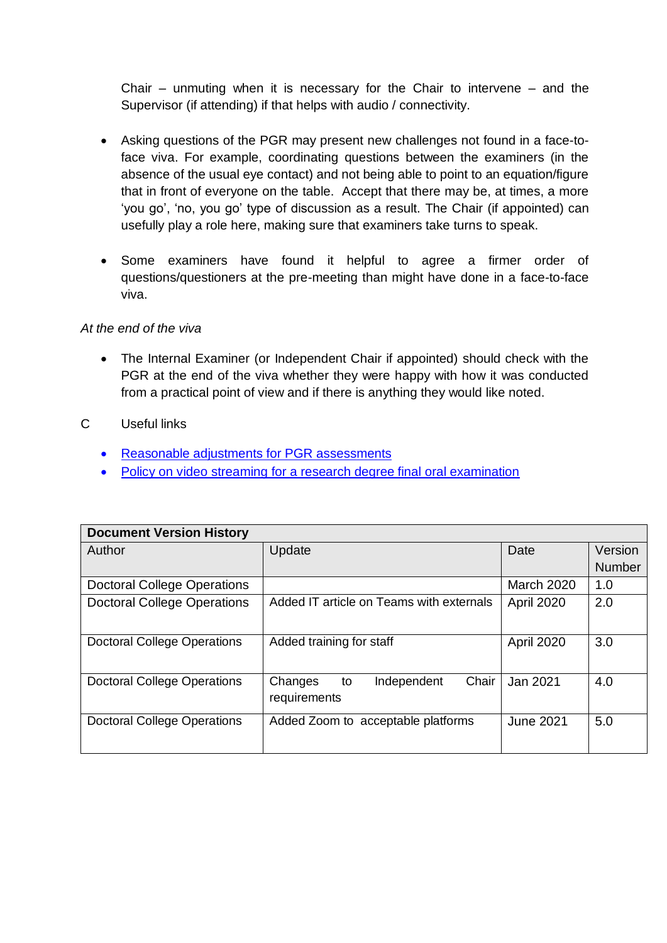Chair – unmuting when it is necessary for the Chair to intervene – and the Supervisor (if attending) if that helps with audio / connectivity.

- Asking questions of the PGR may present new challenges not found in a face-toface viva. For example, coordinating questions between the examiners (in the absence of the usual eye contact) and not being able to point to an equation/figure that in front of everyone on the table. Accept that there may be, at times, a more 'you go', 'no, you go' type of discussion as a result. The Chair (if appointed) can usefully play a role here, making sure that examiners take turns to speak.
- Some examiners have found it helpful to agree a firmer order of questions/questioners at the pre-meeting than might have done in a face-to-face viva.

### *At the end of the viva*

• The Internal Examiner (or Independent Chair if appointed) should check with the PGR at the end of the viva whether they were happy with how it was conducted from a practical point of view and if there is anything they would like noted.

# C Useful links

- [Reasonable adjustments for PGR assessments](https://ses.leeds.ac.uk/info/22225/research_degree_examinations/730/video_conferencing_or_skype_or_equivalent_for_a_viva_research_students)
- [Policy on video streaming for a research degree final oral examination](https://ses.leeds.ac.uk/info/22225/research_degree_examinations/730/video_conferencing_or_skype_or_equivalent_for_a_viva_research_students)

| <b>Document Version History</b>    |                                          |                   |               |
|------------------------------------|------------------------------------------|-------------------|---------------|
| Author                             | Update                                   | Date              | Version       |
|                                    |                                          |                   | <b>Number</b> |
| <b>Doctoral College Operations</b> |                                          | <b>March 2020</b> | 1.0           |
| <b>Doctoral College Operations</b> | Added IT article on Teams with externals | April 2020        | 2.0           |
|                                    |                                          |                   |               |
| <b>Doctoral College Operations</b> | Added training for staff                 | April 2020        | 3.0           |
|                                    |                                          |                   |               |
| <b>Doctoral College Operations</b> | Chair<br>Independent<br>Changes<br>to    | Jan 2021          | 4.0           |
|                                    | requirements                             |                   |               |
| <b>Doctoral College Operations</b> | Added Zoom to acceptable platforms       | <b>June 2021</b>  | 5.0           |
|                                    |                                          |                   |               |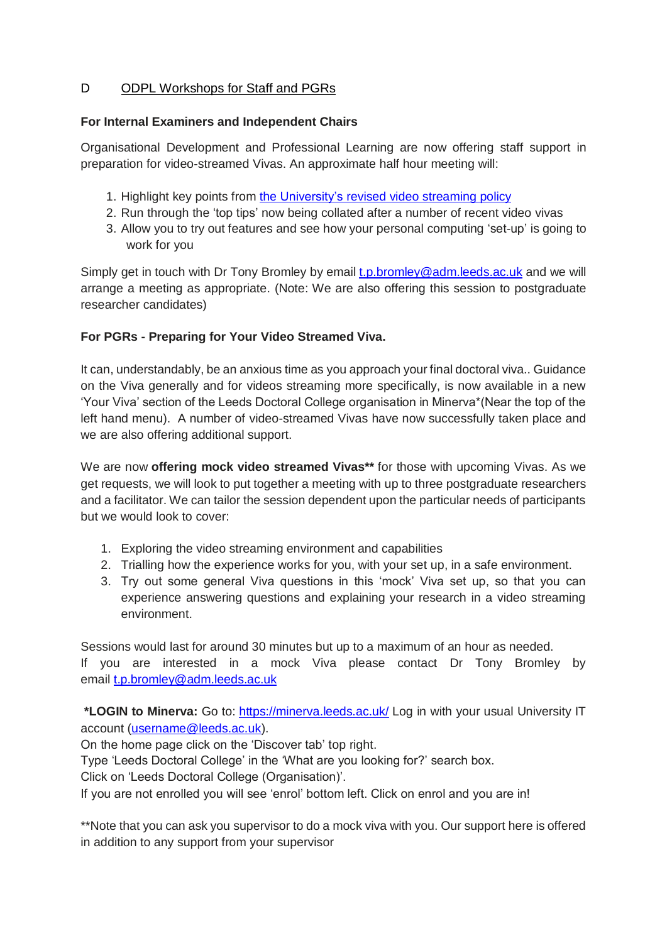# D ODPL Workshops for Staff and PGRs

#### **For Internal Examiners and Independent Chairs**

Organisational Development and Professional Learning are now offering staff support in preparation for video-streamed Vivas. An approximate half hour meeting will:

- 1. Highlight key points from the [University's](https://ses.leeds.ac.uk/info/22149/a-z_of_policies_and_key_documents/730/video_conferencing_or_skype_or_equivalent_for_a_viva_research_students) revised video streaming policy
- 2. Run through the 'top tips' now being collated after a number of recent video vivas
- 3. Allow you to try out features and see how your personal computing 'set-up' is going to work for you

Simply get in touch with Dr Tony Bromley by email [t.p.bromley@adm.leeds.ac.uk](mailto:t.p.bromley@adm.leeds.ac.uk) and we will arrange a meeting as appropriate. (Note: We are also offering this session to postgraduate researcher candidates)

### **For PGRs - Preparing for Your Video Streamed Viva.**

It can, understandably, be an anxious time as you approach your final doctoral viva.. Guidance on the Viva generally and for videos streaming more specifically, is now available in a new 'Your Viva' section of the Leeds Doctoral College organisation in Minerva\*(Near the top of the left hand menu). A number of video-streamed Vivas have now successfully taken place and we are also offering additional support.

We are now **offering mock video streamed Vivas\*\*** for those with upcoming Vivas. As we get requests, we will look to put together a meeting with up to three postgraduate researchers and a facilitator. We can tailor the session dependent upon the particular needs of participants but we would look to cover:

- 1. Exploring the video streaming environment and capabilities
- 2. Trialling how the experience works for you, with your set up, in a safe environment.
- 3. Try out some general Viva questions in this 'mock' Viva set up, so that you can experience answering questions and explaining your research in a video streaming environment.

Sessions would last for around 30 minutes but up to a maximum of an hour as needed. If you are interested in a mock Viva please contact Dr Tony Bromley by email [t.p.bromley@adm.leeds.ac.uk](mailto:t.p.bromley@adm.leeds.ac.uk)

**\*LOGIN to Minerva:** Go to: <https://minerva.leeds.ac.uk/> Log in with your usual University IT account [\(username@leeds.ac.uk\)](mailto:username@leeds.ac.uk).

On the home page click on the 'Discover tab' top right.

Type 'Leeds Doctoral College' in the 'What are you looking for?' search box.

Click on 'Leeds Doctoral College (Organisation)'.

If you are not enrolled you will see 'enrol' bottom left. Click on enrol and you are in!

\*\*Note that you can ask you supervisor to do a mock viva with you. Our support here is offered in addition to any support from your supervisor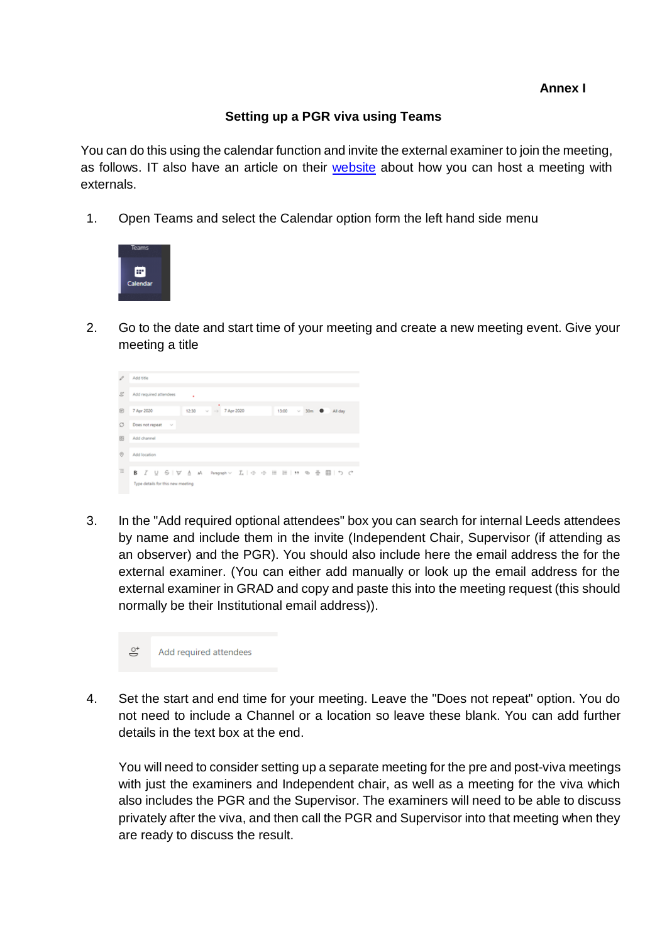### **Setting up a PGR viva using Teams**

<span id="page-5-0"></span>You can do this using the calendar function and invite the external examiner to join the meeting, as follows. IT also have an article on their [website](https://it.leeds.ac.uk/it?id=kb_article&sysparm_article=KB0014491) about how you can host a meeting with externals.

1. Open Teams and select the Calendar option form the left hand side menu



2. Go to the date and start time of your meeting and create a new meeting event. Give your meeting a title



3. In the "Add required optional attendees" box you can search for internal Leeds attendees by name and include them in the invite (Independent Chair, Supervisor (if attending as an observer) and the PGR). You should also include here the email address the for the external examiner. (You can either add manually or look up the email address for the external examiner in GRAD and copy and paste this into the meeting request (this should normally be their Institutional email address)).



4. Set the start and end time for your meeting. Leave the "Does not repeat" option. You do not need to include a Channel or a location so leave these blank. You can add further details in the text box at the end.

You will need to consider setting up a separate meeting for the pre and post-viva meetings with just the examiners and Independent chair, as well as a meeting for the viva which also includes the PGR and the Supervisor. The examiners will need to be able to discuss privately after the viva, and then call the PGR and Supervisor into that meeting when they are ready to discuss the result.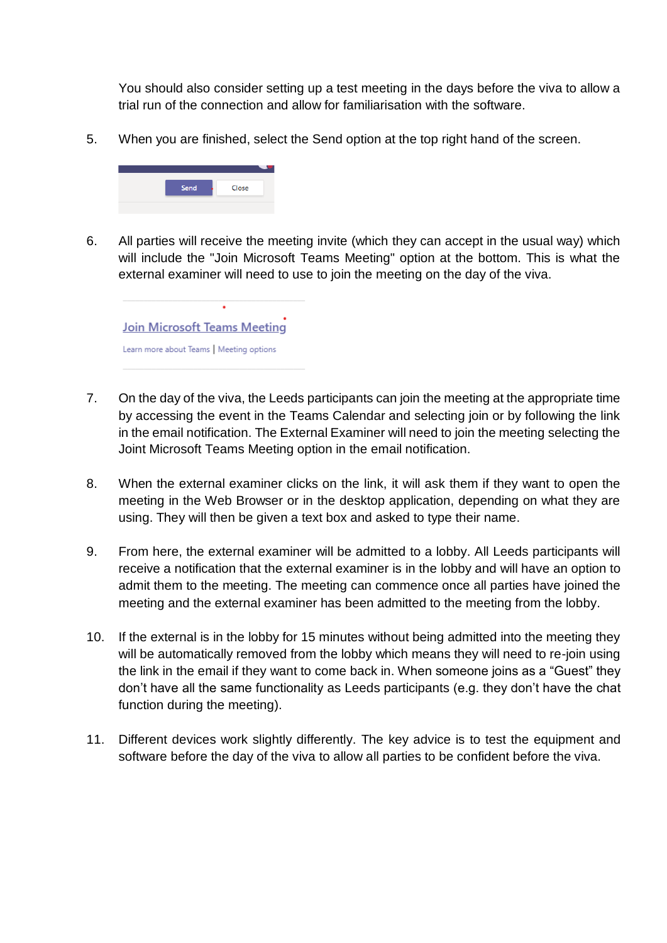You should also consider setting up a test meeting in the days before the viva to allow a trial run of the connection and allow for familiarisation with the software.

5. When you are finished, select the Send option at the top right hand of the screen.



6. All parties will receive the meeting invite (which they can accept in the usual way) which will include the "Join Microsoft Teams Meeting" option at the bottom. This is what the external examiner will need to use to join the meeting on the day of the viva.



- 7. On the day of the viva, the Leeds participants can join the meeting at the appropriate time by accessing the event in the Teams Calendar and selecting join or by following the link in the email notification. The External Examiner will need to join the meeting selecting the Joint Microsoft Teams Meeting option in the email notification.
- 8. When the external examiner clicks on the link, it will ask them if they want to open the meeting in the Web Browser or in the desktop application, depending on what they are using. They will then be given a text box and asked to type their name.
- 9. From here, the external examiner will be admitted to a lobby. All Leeds participants will receive a notification that the external examiner is in the lobby and will have an option to admit them to the meeting. The meeting can commence once all parties have joined the meeting and the external examiner has been admitted to the meeting from the lobby.
- 10. If the external is in the lobby for 15 minutes without being admitted into the meeting they will be automatically removed from the lobby which means they will need to re-join using the link in the email if they want to come back in. When someone joins as a "Guest" they don't have all the same functionality as Leeds participants (e.g. they don't have the chat function during the meeting).
- 11. Different devices work slightly differently. The key advice is to test the equipment and software before the day of the viva to allow all parties to be confident before the viva.